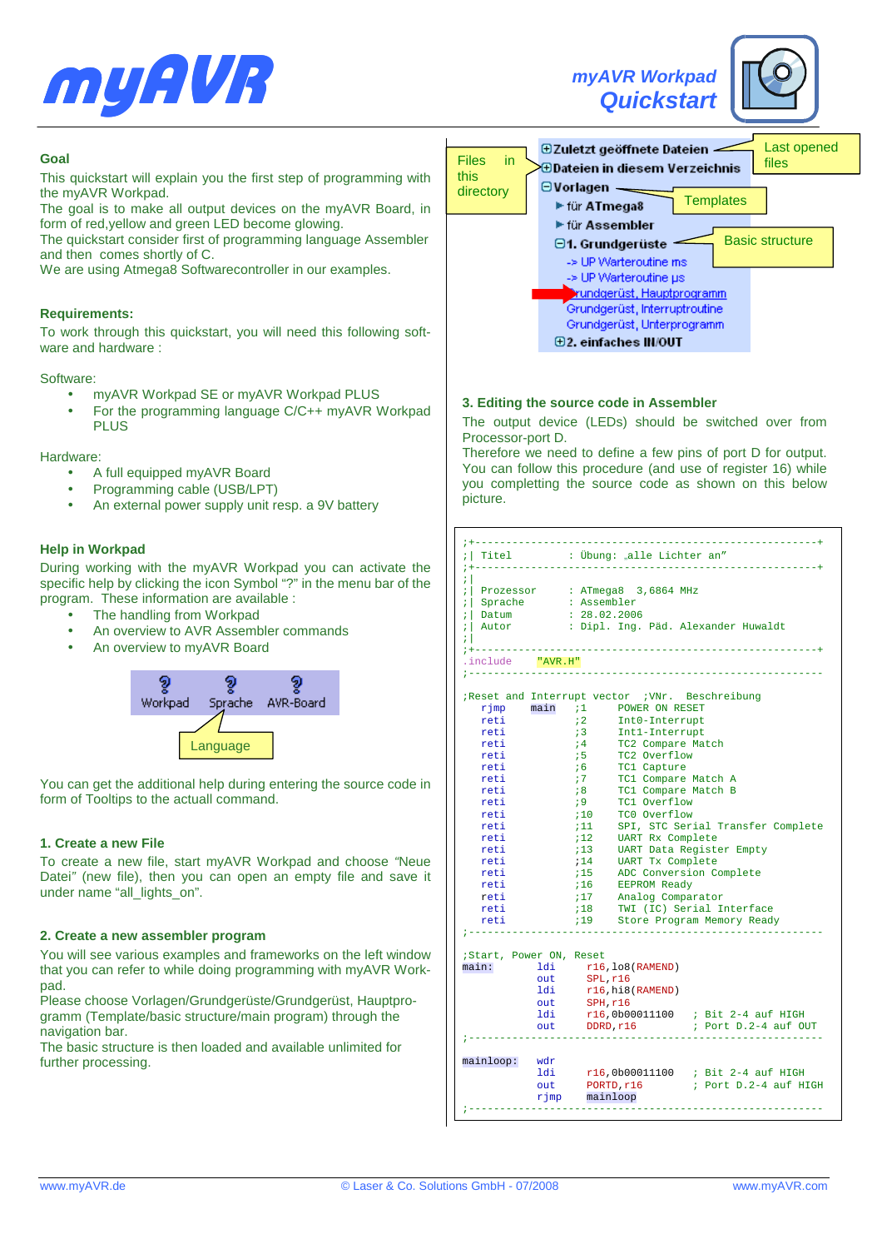





# **Goal**

This quickstart will explain you the first step of programming with the myAVR Workpad.

The goal is to make all output devices on the myAVR Board, in form of red,yellow and green LED become glowing.

The quickstart consider first of programming language Assembler and then comes shortly of C.

We are using Atmega8 Softwarecontroller in our examples.

## **Requirements:**

To work through this quickstart, you will need this following software and hardware :

#### Software:

- myAVR Workpad SE or myAVR Workpad PLUS
- For the programming language C/C++ myAVR Workpad PLUS

### Hardware:

- A full equipped myAVR Board
- Programming cable (USB/LPT)
- An external power supply unit resp. a 9V battery

## **Help in Workpad**

During working with the myAVR Workpad you can activate the specific help by clicking the icon Symbol "?" in the menu bar of the program. These information are available :

- The handling from Workpad
- An overview to AVR Assembler commands
- An overview to myAVR Board



You can get the additional help during entering the source code in form of Tooltips to the actuall command.

## **1. Create a new File**

To create a new file, start myAVR Workpad and choose "Neue Datei" (new file), then you can open an empty file and save it under name "all\_lights\_on".

## **2. Create a new assembler program**

You will see various examples and frameworks on the left window that you can refer to while doing programming with myAVR Workpad.

Please choose Vorlagen/Grundgerüste/Grundgerüst, Hauptprogramm (Template/basic structure/main program) through the navigation bar.

The basic structure is then loaded and available unlimited for further processing.

| <b>Files</b><br>in. | Last opened<br>$\bm{\oplus}$ Zuletzt geöffnete Dateien<br>files                      |
|---------------------|--------------------------------------------------------------------------------------|
| this<br>directory   | $\bm{\oplus}$ Dateien in diesem Verzeichnis<br>$\Theta$ Vorlagen<br><b>Templates</b> |
|                     | ► für ATmega8<br>$\blacktriangleright$ für Assembler                                 |
|                     | <b>Basic structure</b><br>$\Box$ 1. Grundgerüste<br>-> UP Warteroutine ms            |
|                     | -> UP Warteroutine us<br>⊁rundgerüst, Hauptprogramm                                  |
|                     | Grundgerüst, Interruptroutine<br>Grundgerüst, Unterprogramm                          |
|                     | $\boxplus$ 2. einfaches IN/OUT                                                       |

## **3. Editing the source code in Assembler**

The output device (LEDs) should be switched over from Processor-port D.

Therefore we need to define a few pins of port D for output. You can follow this procedure (and use of register 16) while you completting the source code as shown on this below picture.

| Titel<br>----------------       |     | : Übung: "alle Lichter an"                                      |
|---------------------------------|-----|-----------------------------------------------------------------|
| ; :                             |     | : Prozessor : ATmega8 3,6864 MHz                                |
|                                 |     | $:  $ Sprache $:$ Assembler                                     |
| ; Datum                         |     | : 28.02.2006                                                    |
| ;  Autor<br>7 L                 |     | : Dipl. Ing. Päd. Alexander Huwaldt                             |
| .include "AVR.H"                |     | -----------------------------------                             |
|                                 |     |                                                                 |
|                                 |     | Reset and Interrupt vector WNr. Beschreibung                    |
|                                 |     | rjmp main :1 POWER ON RESET                                     |
| reti                            |     | $\mathbf{i}$ 2<br>Int0-Interrupt                                |
| reti                            |     | $\mathbf{i}$ 3<br>Intl-Interrupt<br>TC2 Occur                   |
| reti                            |     | 74<br>TC2 Compare Match                                         |
| reti                            |     | $75 -$<br>TC2 Overflow                                          |
| reti                            |     | 16<br>TC1 Capture                                               |
| reti                            |     | 77<br>TC1 Compare Match A                                       |
| reti                            |     | TC1 Compare Match B<br>18 <sup>2</sup>                          |
| reti                            |     | 19<br>TC1 Overflow                                              |
| reti                            |     | 710<br>TCO Overflow                                             |
| reti                            |     | 11<br>SPI, STC Serial Transfer Complete                         |
| reti                            |     | UART Rx Complete<br>12 <sub>1</sub>                             |
| reti                            |     | :13 UART Data Register Empty                                    |
| reti                            |     | UART Tx Complete<br>714                                         |
| reti                            |     | 714 CONVERSION Complete                                         |
| reti                            |     | :16 EEPROM Ready<br>:17 Analog Comparator                       |
| reti                            |     |                                                                 |
| reti                            |     | :18 TWI (IC) Serial Interface<br>:19 Store Program Memory Ready |
| reti                            |     | Store Program Memory Ready<br>719                               |
|                                 |     |                                                                 |
| Start, Power ON, Reset<br>main: |     | 1di r16, lo8(RAMEND)                                            |
|                                 |     |                                                                 |
|                                 | ldi | out SPL, r16<br>r16, hi8(RAMEND)                                |
|                                 | out | SPH, r16                                                        |
|                                 | ldi | r16,0b00011100 ; Bit 2-4 auf HIGH                               |
|                                 |     | out DDRD, r16<br>; Port D.2-4 auf OUT                           |
|                                 |     |                                                                 |
| mainloop:                       | wdr |                                                                 |
|                                 |     | ldi r16,0b00011100 ; Bit 2-4 auf HIGH                           |
|                                 |     |                                                                 |
|                                 | out | PORTD, r16<br>; Port D.2-4 auf HIGH                             |